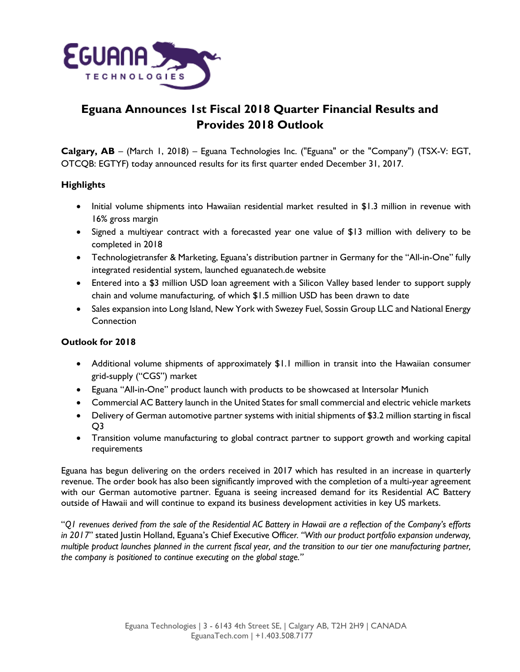

# **Eguana Announces 1st Fiscal 2018 Quarter Financial Results and Provides 2018 Outlook**

**Calgary, AB** – (March 1, 2018) – Eguana Technologies Inc. ("Eguana" or the "Company") (TSX-V: EGT, OTCQB: EGTYF) today announced results for its first quarter ended December 31, 2017.

## **Highlights**

- Initial volume shipments into Hawaiian residential market resulted in \$1.3 million in revenue with 16% gross margin
- Signed a multiyear contract with a forecasted year one value of \$13 million with delivery to be completed in 2018
- Technologietransfer & Marketing, Eguana's distribution partner in Germany for the "All-in-One" fully integrated residential system, launched eguanatech.de website
- Entered into a \$3 million USD loan agreement with a Silicon Valley based lender to support supply chain and volume manufacturing, of which \$1.5 million USD has been drawn to date
- Sales expansion into Long Island, New York with Swezey Fuel, Sossin Group LLC and National Energy **Connection**

## **Outlook for 2018**

- Additional volume shipments of approximately \$1.1 million in transit into the Hawaiian consumer grid-supply ("CGS") market
- Eguana "All-in-One" product launch with products to be showcased at Intersolar Munich
- Commercial AC Battery launch in the United States for small commercial and electric vehicle markets
- Delivery of German automotive partner systems with initial shipments of \$3.2 million starting in fiscal Q3
- Transition volume manufacturing to global contract partner to support growth and working capital requirements

Eguana has begun delivering on the orders received in 2017 which has resulted in an increase in quarterly revenue. The order book has also been significantly improved with the completion of a multi-year agreement with our German automotive partner. Eguana is seeing increased demand for its Residential AC Battery outside of Hawaii and will continue to expand its business development activities in key US markets.

"*Q1 revenues derived from the sale of the Residential AC Battery in Hawaii are a reflection of the Company's efforts in 2017*" stated Justin Holland, Eguana's Chief Executive Offi*cer. "With our product portfolio expansion underway, multiple product launches planned in the current fiscal year, and the transition to our tier one manufacturing partner, the company is positioned to continue executing on the global stage."*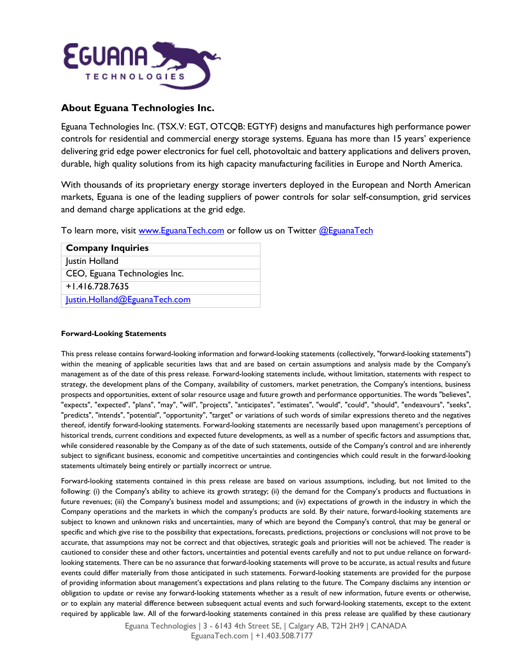

## **About Eguana Technologies Inc.**

Eguana Technologies Inc. (TSX.V: EGT, OTCQB: EGTYF) designs and manufactures high performance power controls for residential and commercial energy storage systems. Eguana has more than 15 years' experience delivering grid edge power electronics for fuel cell, photovoltaic and battery applications and delivers proven, durable, high quality solutions from its high capacity manufacturing facilities in Europe and North America.

With thousands of its proprietary energy storage inverters deployed in the European and North American markets, Eguana is one of the leading suppliers of power controls for solar self-consumption, grid services and demand charge applications at the grid edge.

To learn more, visit [www.EguanaTech.com](http://www.eguanatech.com/) or follow us on Twitter [@EguanaTech](https://twitter.com/EguanaTech)

| <b>Company Inquiries</b>      |
|-------------------------------|
| Justin Holland                |
| CEO, Eguana Technologies Inc. |
| $+1.416.728.7635$             |
| lustin.Holland@EguanaTech.com |

#### **Forward-Looking Statements**

This press release contains forward-looking information and forward-looking statements (collectively, "forward-looking statements") within the meaning of applicable securities laws that and are based on certain assumptions and analysis made by the Company's management as of the date of this press release. Forward-looking statements include, without limitation, statements with respect to strategy, the development plans of the Company, availability of customers, market penetration, the Company's intentions, business prospects and opportunities, extent of solar resource usage and future growth and performance opportunities. The words "believes", "expects", "expected", "plans", "may", "will", "projects", "anticipates", "estimates", "would", "could", "should", "endeavours", "seeks", "predicts", "intends", "potential", "opportunity", "target" or variations of such words of similar expressions thereto and the negatives thereof, identify forward-looking statements. Forward-looking statements are necessarily based upon management's perceptions of historical trends, current conditions and expected future developments, as well as a number of specific factors and assumptions that, while considered reasonable by the Company as of the date of such statements, outside of the Company's control and are inherently subject to significant business, economic and competitive uncertainties and contingencies which could result in the forward-looking statements ultimately being entirely or partially incorrect or untrue.

Forward-looking statements contained in this press release are based on various assumptions, including, but not limited to the following: (i) the Company's ability to achieve its growth strategy; (ii) the demand for the Company's products and fluctuations in future revenues; (iii) the Company's business model and assumptions; and (iv) expectations of growth in the industry in which the Company operations and the markets in which the company's products are sold. By their nature, forward-looking statements are subject to known and unknown risks and uncertainties, many of which are beyond the Company's control, that may be general or specific and which give rise to the possibility that expectations, forecasts, predictions, projections or conclusions will not prove to be accurate, that assumptions may not be correct and that objectives, strategic goals and priorities will not be achieved. The reader is cautioned to consider these and other factors, uncertainties and potential events carefully and not to put undue reliance on forwardlooking statements. There can be no assurance that forward-looking statements will prove to be accurate, as actual results and future events could differ materially from those anticipated in such statements. Forward-looking statements are provided for the purpose of providing information about management's expectations and plans relating to the future. The Company disclaims any intention or obligation to update or revise any forward-looking statements whether as a result of new information, future events or otherwise, or to explain any material difference between subsequent actual events and such forward-looking statements, except to the extent required by applicable law. All of the forward-looking statements contained in this press release are qualified by these cautionary

> Eguana Technologies | 3 - 6143 4th Street SE, | Calgary AB, T2H 2H9 | CANADA EguanaTech.com | +1.403.508.7177